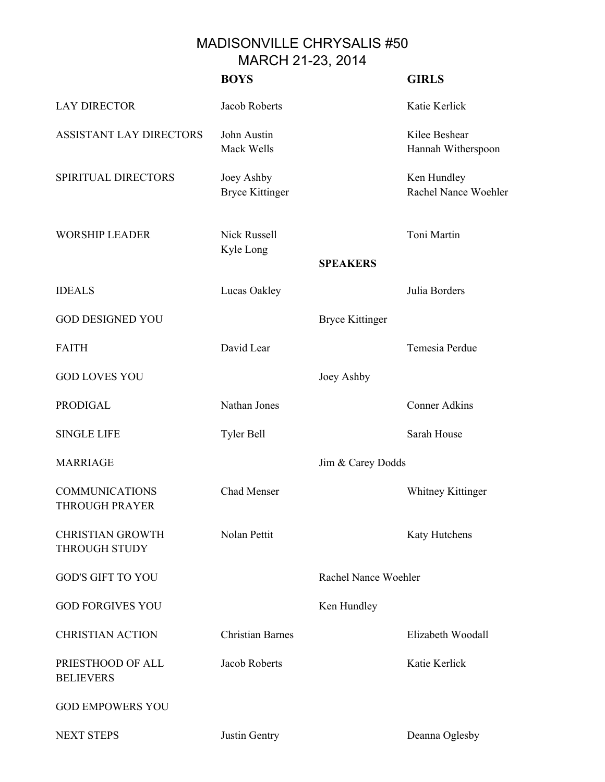MADISONVILLE CHRYSALIS #50 MARCH 21-23, 2014

|                                                 | <b>BOYS</b>                          |                        | <b>GIRLS</b>                        |
|-------------------------------------------------|--------------------------------------|------------------------|-------------------------------------|
| <b>LAY DIRECTOR</b>                             | Jacob Roberts                        |                        | Katie Kerlick                       |
| ASSISTANT LAY DIRECTORS                         | John Austin<br>Mack Wells            |                        | Kilee Beshear<br>Hannah Witherspoon |
| SPIRITUAL DIRECTORS                             | Joey Ashby<br><b>Bryce Kittinger</b> |                        | Ken Hundley<br>Rachel Nance Woehler |
| <b>WORSHIP LEADER</b>                           | <b>Nick Russell</b><br>Kyle Long     |                        | Toni Martin                         |
|                                                 |                                      | <b>SPEAKERS</b>        |                                     |
| <b>IDEALS</b>                                   | Lucas Oakley                         |                        | Julia Borders                       |
| <b>GOD DESIGNED YOU</b>                         |                                      | <b>Bryce Kittinger</b> |                                     |
| <b>FAITH</b>                                    | David Lear                           |                        | Temesia Perdue                      |
| <b>GOD LOVES YOU</b>                            |                                      | Joey Ashby             |                                     |
| <b>PRODIGAL</b>                                 | Nathan Jones                         |                        | <b>Conner Adkins</b>                |
| <b>SINGLE LIFE</b>                              | Tyler Bell                           |                        | Sarah House                         |
| <b>MARRIAGE</b>                                 |                                      | Jim & Carey Dodds      |                                     |
| <b>COMMUNICATIONS</b><br><b>THROUGH PRAYER</b>  | Chad Menser                          |                        | <b>Whitney Kittinger</b>            |
| <b>CHRISTIAN GROWTH</b><br><b>THROUGH STUDY</b> | Nolan Pettit                         |                        | Katy Hutchens                       |
| <b>GOD'S GIFT TO YOU</b>                        |                                      | Rachel Nance Woehler   |                                     |
| <b>GOD FORGIVES YOU</b>                         |                                      | Ken Hundley            |                                     |
| <b>CHRISTIAN ACTION</b>                         | <b>Christian Barnes</b>              |                        | Elizabeth Woodall                   |
| PRIESTHOOD OF ALL<br><b>BELIEVERS</b>           | Jacob Roberts                        |                        | Katie Kerlick                       |
| <b>GOD EMPOWERS YOU</b>                         |                                      |                        |                                     |
| <b>NEXT STEPS</b>                               | Justin Gentry                        |                        | Deanna Oglesby                      |